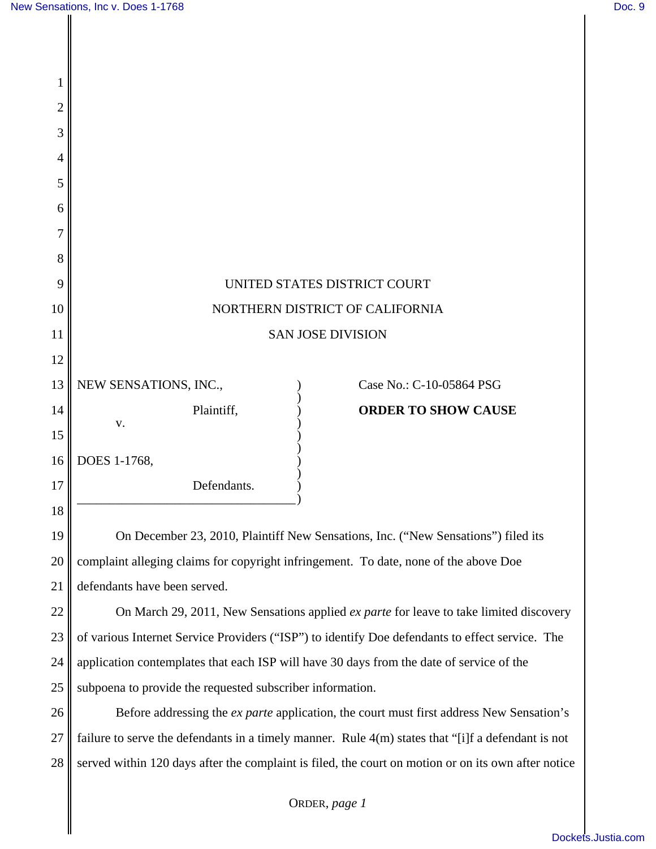| 1              |                                 |                                                             |  |                                                                                                                      |  |
|----------------|---------------------------------|-------------------------------------------------------------|--|----------------------------------------------------------------------------------------------------------------------|--|
| $\overline{2}$ |                                 |                                                             |  |                                                                                                                      |  |
| 3              |                                 |                                                             |  |                                                                                                                      |  |
| 4              |                                 |                                                             |  |                                                                                                                      |  |
| 5              |                                 |                                                             |  |                                                                                                                      |  |
| 6              |                                 |                                                             |  |                                                                                                                      |  |
| 7              |                                 |                                                             |  |                                                                                                                      |  |
| 8              |                                 |                                                             |  |                                                                                                                      |  |
| 9              | UNITED STATES DISTRICT COURT    |                                                             |  |                                                                                                                      |  |
| 10             | NORTHERN DISTRICT OF CALIFORNIA |                                                             |  |                                                                                                                      |  |
| 11             | <b>SAN JOSE DIVISION</b>        |                                                             |  |                                                                                                                      |  |
| 12             |                                 |                                                             |  |                                                                                                                      |  |
| 13             | NEW SENSATIONS, INC.,           |                                                             |  | Case No.: C-10-05864 PSG                                                                                             |  |
| 14             | V.                              | Plaintiff,                                                  |  | <b>ORDER TO SHOW CAUSE</b>                                                                                           |  |
| 15             |                                 |                                                             |  |                                                                                                                      |  |
| 16             | DOES 1-1768,                    |                                                             |  |                                                                                                                      |  |
| 17             |                                 | Defendants.                                                 |  |                                                                                                                      |  |
| 18             |                                 |                                                             |  |                                                                                                                      |  |
| 1 <sub>0</sub> | $\cdot$ D $\cdot$ .             | $\ldots$ CC NL $\ldots$ C $\ldots$<br>$22.2010 \text{ m}$ : |  | $\mathcal{L} = \mathcal{L}^{\dagger}$ is a set of $\mathbf{T}$ as a<br>$(65N)$ = $\Gamma$ = $\Gamma$<br>$\mathbf{r}$ |  |

19 20 21 On December 23, 2010, Plaintiff New Sensations, Inc. ("New Sensations") filed its complaint alleging claims for copyright infringement. To date, none of the above Doe defendants have been served.

22 23 24 25 On March 29, 2011, New Sensations applied *ex parte* for leave to take limited discovery of various Internet Service Providers ("ISP") to identify Doe defendants to effect service. The application contemplates that each ISP will have 30 days from the date of service of the subpoena to provide the requested subscriber information.

26 27 28 Before addressing the *ex parte* application, the court must first address New Sensation's failure to serve the defendants in a timely manner. Rule 4(m) states that "[i]f a defendant is not served within 120 days after the complaint is filed, the court on motion or on its own after notice